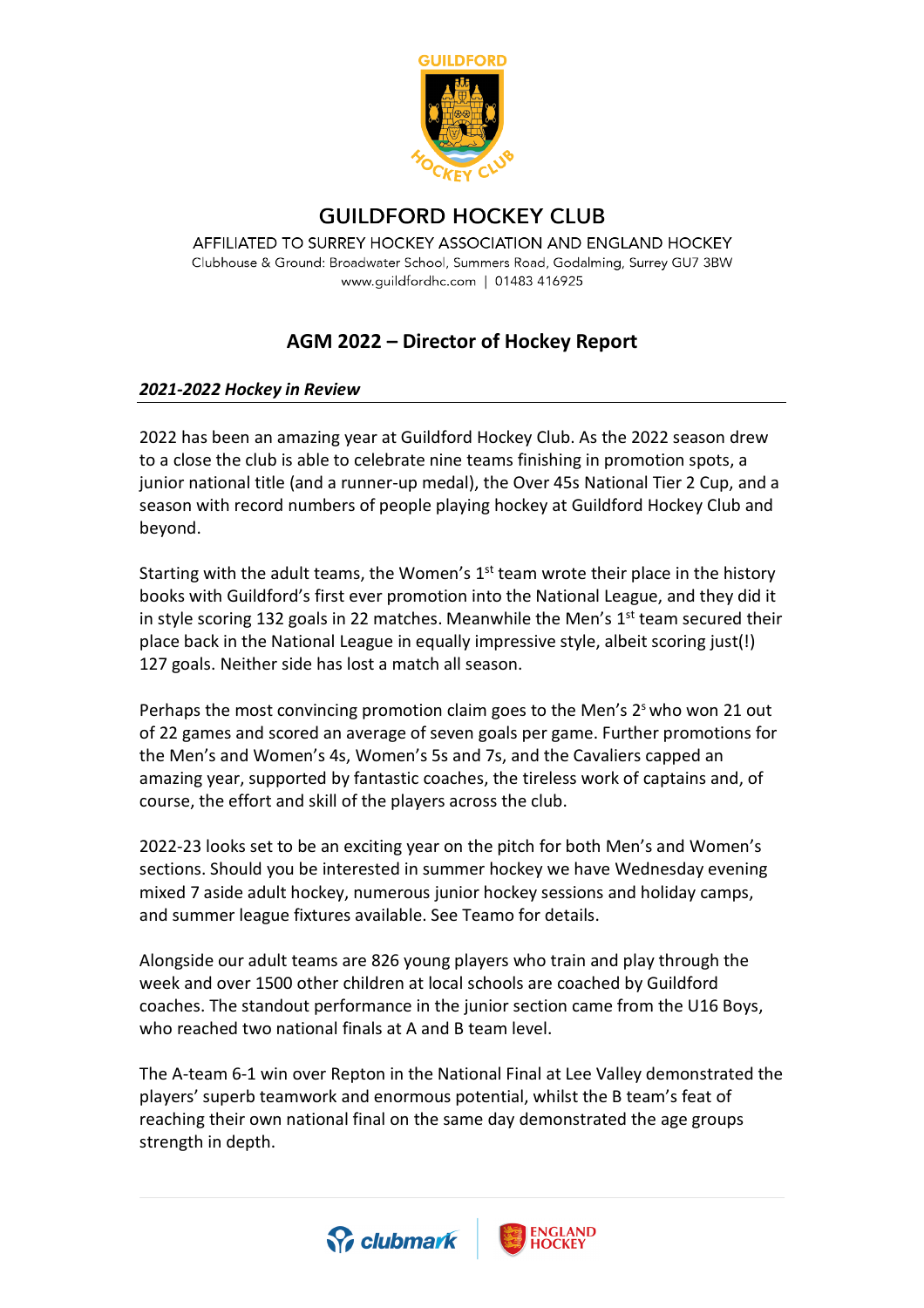

## **GUILDFORD HOCKEY CLUB**

AFFILIATED TO SURREY HOCKEY ASSOCIATION AND ENGLAND HOCKEY Clubhouse & Ground: Broadwater School, Summers Road, Godalming, Surrey GU7 3BW www.guildfordhc.com | 01483 416925

## **AGM 2022 – Director of Hockey Report**

## *2021-2022 Hockey in Review*

2022 has been an amazing year at Guildford Hockey Club. As the 2022 season drew to a close the club is able to celebrate nine teams finishing in promotion spots, a junior national title (and a runner-up medal), the Over 45s National Tier 2 Cup, and a season with record numbers of people playing hockey at Guildford Hockey Club and beyond.

Starting with the adult teams, the Women's  $1<sup>st</sup>$  team wrote their place in the history books with Guildford's first ever promotion into the National League, and they did it in style scoring 132 goals in 22 matches. Meanwhile the Men's  $1<sup>st</sup>$  team secured their place back in the National League in equally impressive style, albeit scoring just(!) 127 goals. Neither side has lost a match all season.

Perhaps the most convincing promotion claim goes to the Men's  $2<sup>s</sup>$  who won 21 out of 22 games and scored an average of seven goals per game. Further promotions for the Men's and Women's 4s, Women's 5s and 7s, and the Cavaliers capped an amazing year, supported by fantastic coaches, the tireless work of captains and, of course, the effort and skill of the players across the club.

2022-23 looks set to be an exciting year on the pitch for both Men's and Women's sections. Should you be interested in summer hockey we have Wednesday evening mixed 7 aside adult hockey, numerous junior hockey sessions and holiday camps, and summer league fixtures available. See Teamo for details.

Alongside our adult teams are 826 young players who train and play through the week and over 1500 other children at local schools are coached by Guildford coaches. The standout performance in the junior section came from the U16 Boys, who reached two national finals at A and B team level.

The A-team 6-1 win over Repton in the National Final at Lee Valley demonstrated the players' superb teamwork and enormous potential, whilst the B team's feat of reaching their own national final on the same day demonstrated the age groups strength in depth.



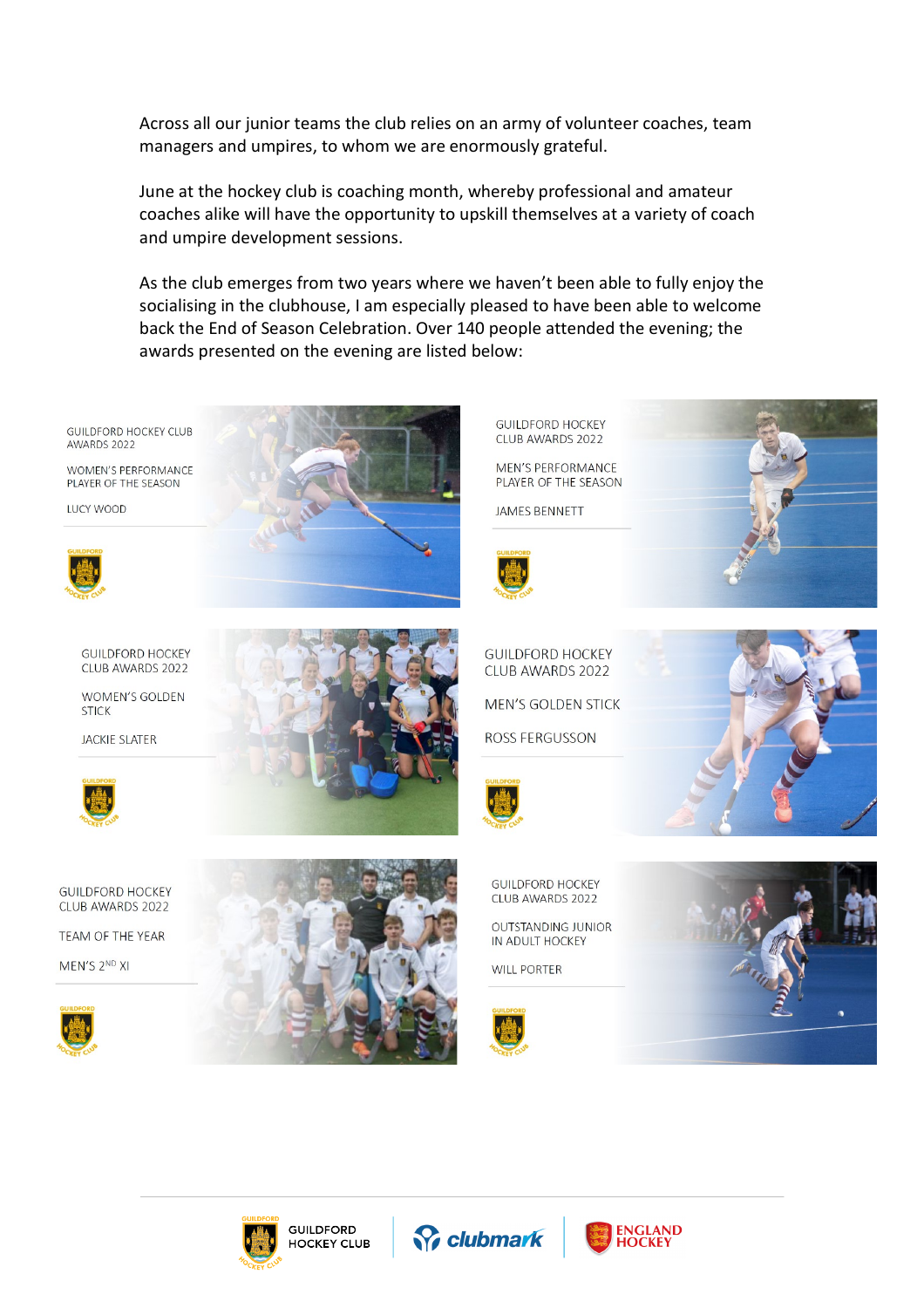Across all our junior teams the club relies on an army of volunteer coaches, team managers and umpires, to whom we are enormously grateful.

June at the hockey club is coaching month, whereby professional and amateur coaches alike will have the opportunity to upskill themselves at a variety of coach and umpire development sessions.

As the club emerges from two years where we haven't been able to fully enjoy the socialising in the clubhouse, I am especially pleased to have been able to welcome back the End of Season Celebration. Over 140 people attended the evening; the awards presented on the evening are listed below:

**GUILDFORD HOCKEY CLUB** AWARDS 2022

**WOMEN'S PERFORMANCE** PLAYER OF THE SEASON

**ILICY WOOD** 



**GUILDFORD HOCKEY** CLUB AWARDS 2022

WOMEN'S GOLDEN **STICK** 

**JACKIE SLATER** 



GUILDEORD HOCKEY CLUB AWARDS 2022

TEAM OF THE YEAR

MEN'S 2ND XI





**GUILDEORD HOCKEY** CLUB AWARDS 2022

**MEN'S PERFORMANCE** PLAYER OF THE SEASON

**JAMES BENNETT** 





**GUILDFORD HOCKEY** CLUB AWARDS 2022

**OUTSTANDING JUNIOR** IN ADULT HOCKEY

**WILL PORTER** 











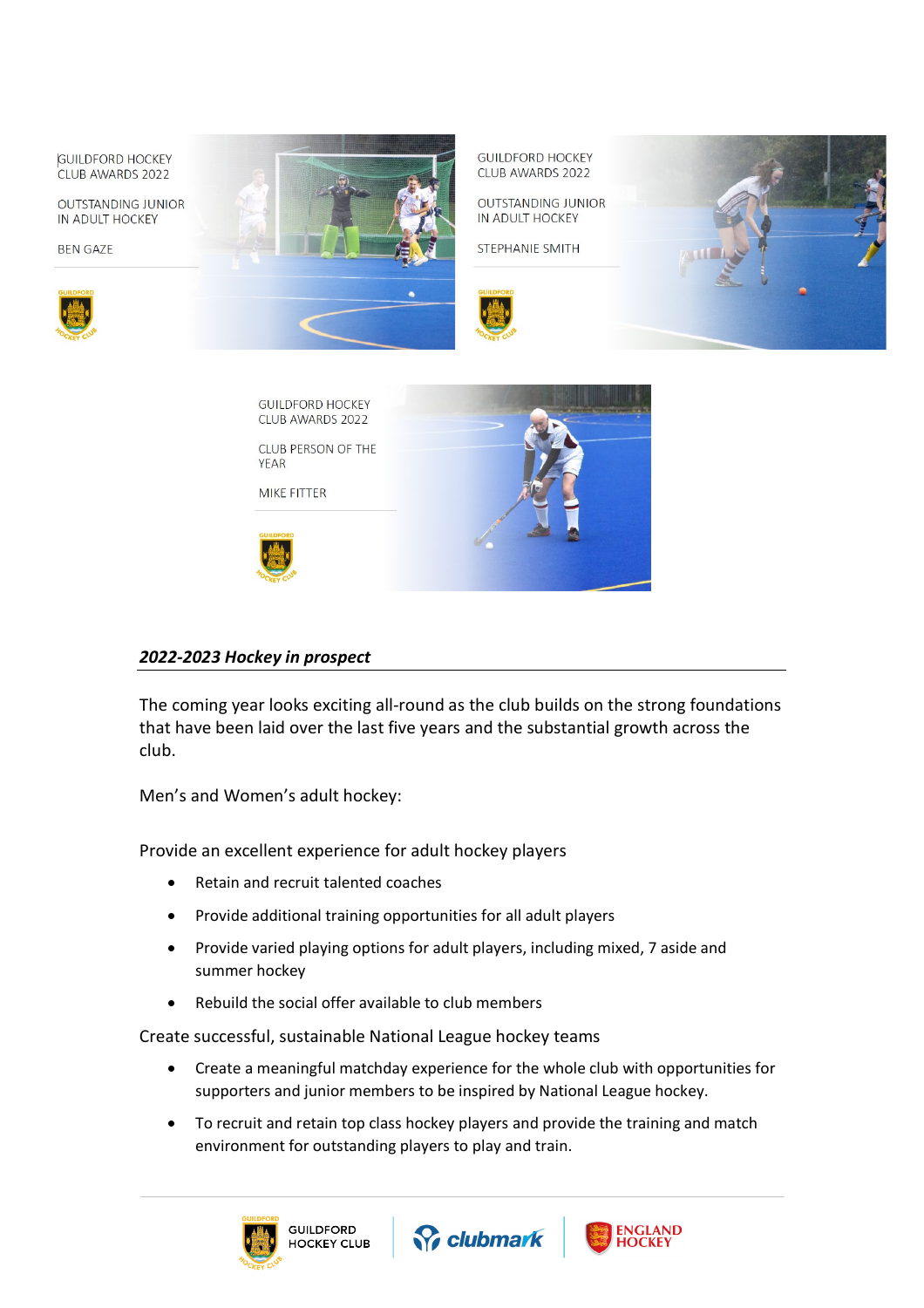



## *2022-2023 Hockey in prospect*

The coming year looks exciting all-round as the club builds on the strong foundations that have been laid over the last five years and the substantial growth across the club.

Men's and Women's adult hockey:

Provide an excellent experience for adult hockey players

- Retain and recruit talented coaches
- Provide additional training opportunities for all adult players
- Provide varied playing options for adult players, including mixed, 7 aside and summer hockey
- Rebuild the social offer available to club members

Create successful, sustainable National League hockey teams

- Create a meaningful matchday experience for the whole club with opportunities for supporters and junior members to be inspired by National League hockey.
- To recruit and retain top class hockey players and provide the training and match environment for outstanding players to play and train.